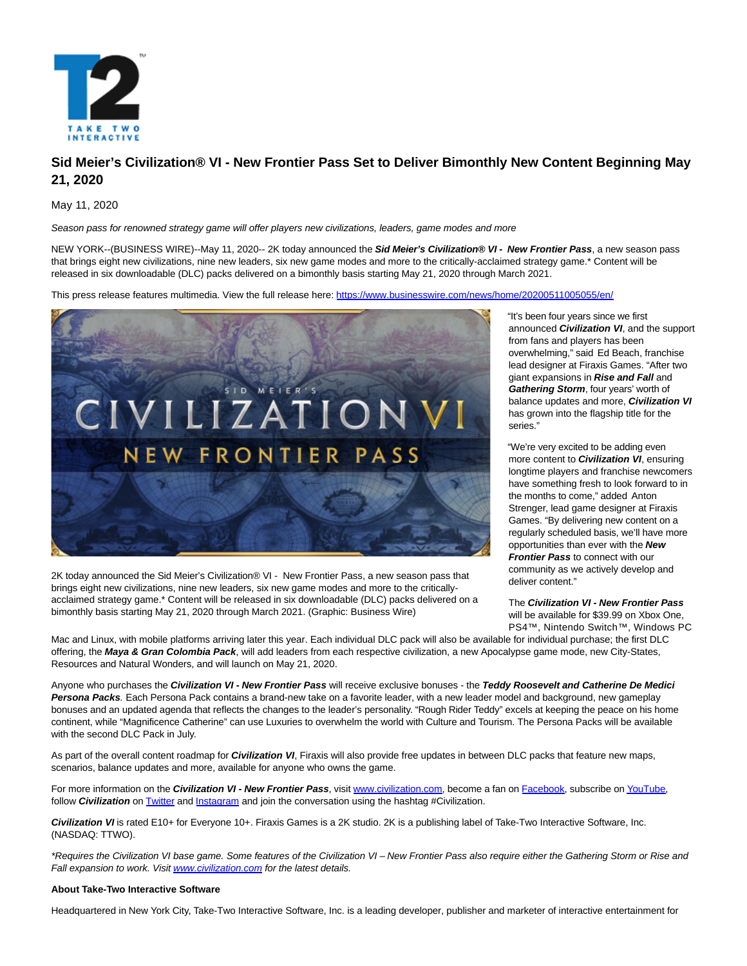

# **Sid Meier's Civilization® VI - New Frontier Pass Set to Deliver Bimonthly New Content Beginning May 21, 2020**

May 11, 2020

Season pass for renowned strategy game will offer players new civilizations, leaders, game modes and more

NEW YORK--(BUSINESS WIRE)--May 11, 2020-- 2K today announced the **Sid Meier's Civilization® VI - New Frontier Pass**, a new season pass that brings eight new civilizations, nine new leaders, six new game modes and more to the critically-acclaimed strategy game.\* Content will be released in six downloadable (DLC) packs delivered on a bimonthly basis starting May 21, 2020 through March 2021.

This press release features multimedia. View the full release here:<https://www.businesswire.com/news/home/20200511005055/en/>



2K today announced the Sid Meier's Civilization® VI - New Frontier Pass, a new season pass that brings eight new civilizations, nine new leaders, six new game modes and more to the criticallyacclaimed strategy game.\* Content will be released in six downloadable (DLC) packs delivered on a bimonthly basis starting May 21, 2020 through March 2021. (Graphic: Business Wire)

"It's been four years since we first announced **Civilization VI**, and the support from fans and players has been overwhelming," said Ed Beach, franchise lead designer at Firaxis Games. "After two giant expansions in **Rise and Fall** and **Gathering Storm**, four years' worth of balance updates and more, **Civilization VI** has grown into the flagship title for the series."

"We're very excited to be adding even more content to **Civilization VI**, ensuring longtime players and franchise newcomers have something fresh to look forward to in the months to come," added Anton Strenger, lead game designer at Firaxis Games. "By delivering new content on a regularly scheduled basis, we'll have more opportunities than ever with the **New Frontier Pass** to connect with our community as we actively develop and deliver content."

The **Civilization VI - New Frontier Pass** will be available for \$39.99 on Xbox One, PS4™, Nintendo Switch™, Windows PC,

Mac and Linux, with mobile platforms arriving later this year. Each individual DLC pack will also be available for individual purchase; the first DLC offering, the **Maya & Gran Colombia Pack**, will add leaders from each respective civilization, a new Apocalypse game mode, new City-States, Resources and Natural Wonders, and will launch on May 21, 2020.

Anyone who purchases the **Civilization VI - New Frontier Pass** will receive exclusive bonuses - the **Teddy Roosevelt and Catherine De Medici Persona Packs**. Each Persona Pack contains a brand-new take on a favorite leader, with a new leader model and background, new gameplay bonuses and an updated agenda that reflects the changes to the leader's personality. "Rough Rider Teddy" excels at keeping the peace on his home continent, while "Magnificence Catherine" can use Luxuries to overwhelm the world with Culture and Tourism. The Persona Packs will be available with the second DLC Pack in July.

As part of the overall content roadmap for **Civilization VI**, Firaxis will also provide free updates in between DLC packs that feature new maps, scenarios, balance updates and more, available for anyone who owns the game.

For more information on the *Civilization VI - New Frontier Pass*, visit [www.civilization.com,](https://cts.businesswire.com/ct/CT?id=smartlink&url=https%3A%2F%2Fcivilization.com%2F&esheet=52217621&newsitemid=20200511005055&lan=en-US&anchor=www.civilization.com&index=1&md5=6f2e802b8c524d5ab086763b06b3949c) become a fan on [Facebook,](https://cts.businesswire.com/ct/CT?id=smartlink&url=https%3A%2F%2Fwww.facebook.com%2Fciv%2F&esheet=52217621&newsitemid=20200511005055&lan=en-US&anchor=Facebook&index=2&md5=735676f974aa07dbdf402d4b342df5dc) subscribe o[n YouTube,](https://cts.businesswire.com/ct/CT?id=smartlink&url=https%3A%2F%2Fwww.youtube.com%2Fchannel%2FUCWj7XnnfbKHGVnZ8iSoETSQ&esheet=52217621&newsitemid=20200511005055&lan=en-US&anchor=YouTube&index=3&md5=1651937f73f1553e495c72d075874562) follow **Civilization** on [Twitter a](https://cts.businesswire.com/ct/CT?id=smartlink&url=http%3A%2F%2Ftwitter.com%2Fcivgame&esheet=52217621&newsitemid=20200511005055&lan=en-US&anchor=Twitter&index=4&md5=22d5fbdefdc7f76298c000723fe39dc2)n[d Instagram a](https://cts.businesswire.com/ct/CT?id=smartlink&url=https%3A%2F%2Fwww.instagram.com%2Fcivgame%2F%3Fhl%3Den&esheet=52217621&newsitemid=20200511005055&lan=en-US&anchor=Instagram&index=5&md5=82874f97eed2601071335ed3667a543e)nd join the conversation using the hashtag #Civilization.

**Civilization VI** is rated E10+ for Everyone 10+. Firaxis Games is a 2K studio. 2K is a publishing label of Take-Two Interactive Software, Inc. (NASDAQ: TTWO).

\*Requires the Civilization VI base game. Some features of the Civilization VI – New Frontier Pass also require either the Gathering Storm or Rise and Fall expansion to work. Visi[t www.civilization.com f](https://cts.businesswire.com/ct/CT?id=smartlink&url=http%3A%2F%2Fwww.civilization.com%2Fnews&esheet=52217621&newsitemid=20200511005055&lan=en-US&anchor=www.civilization.com&index=6&md5=307099b830fc42a16f0f2992c39b80a5)or the latest details.

## **About Take-Two Interactive Software**

Headquartered in New York City, Take-Two Interactive Software, Inc. is a leading developer, publisher and marketer of interactive entertainment for